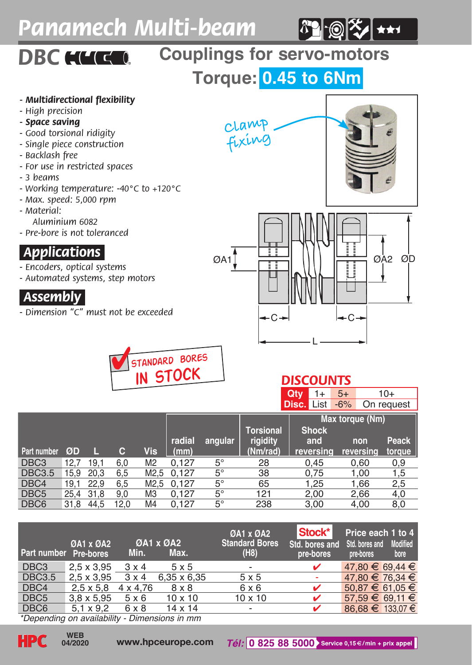# *Panamech Multi-beam*



# **DBC HUGG** Couplings for servo-motors

**Torque: 0.45 to 6Nm**

#### *- Multidirectional flexibility*

- *High precision*
- *Space saving*
- *Good torsional ridigity*
- *Single piece construction*
- *Backlash free*
- *For use in restricted spaces*
- *3 beams*
- *Working temperature: -40°C to +120°C*
- *Max. speed: 5,000 rpm*
- *Material:*

*Aluminium 6082*

*- Pre-bore is not toleranced*

#### *.Applications.*

*- Encoders, optical systems*

*- Automated systems, step motors*

#### *.Assembly.*

*- Dimension "C" must not be exceeded*





### *DISCOUNTS*

**Qty** 1+ 5+ 10+<br>**Disc.** List -6% On request **Disc.** List -6%

|                  |      |      |      |                |        |             |                       | Max torque (Nm)     |           |              |
|------------------|------|------|------|----------------|--------|-------------|-----------------------|---------------------|-----------|--------------|
|                  |      |      |      |                | radial | angular     | Torsional<br>rigidity | <b>Shock</b><br>and | non       | <b>Peack</b> |
| Part number      | ØD   |      | с    | Vis            | (mm)   |             | (Nm/rad)              | reversing           | reversina | torque       |
| DBC <sub>3</sub> | 12.7 | 19.1 | 6.0  | M <sub>2</sub> | 0.127  | $5^{\circ}$ | 28                    | 0.45                | 0.60      | 0,9          |
| <b>DBC3.5</b>    | 15.9 | 20.3 | 6.5  | M2.5           | 0.127  | 5°          | 38                    | 0.75                | 1.00      | 1,5          |
| DBC4             | 19.1 | 22.9 | 6.5  | M2.5           | 0.127  | 5°          | 65                    | 1.25                | 1,66      | 2,5          |
| DBC <sub>5</sub> | 25.4 | 31.8 | 9.0  | M <sub>3</sub> | 0.127  | 5°          | 121                   | 2.00                | 2.66      | 4,0          |
| DBC <sub>6</sub> | 31.8 | 44.5 | 12.0 | M4             | 0.127  | $5^{\circ}$ | 238                   | 3.00                | 4.00      | 8,0          |

| Part number Pre-bores | <b>ØA1 x ØA2</b>  | Min.         | <b>ØA1 x ØA2</b><br>Max. | <b>ØA1 x ØA2</b><br><b>Standard Bores</b><br>(H8) | Stock*<br>Std. bores and<br>pre-bores | Price each 1 to 4<br>Std. bores and<br>pre-bores | <b>Modified</b><br>bore |
|-----------------------|-------------------|--------------|--------------------------|---------------------------------------------------|---------------------------------------|--------------------------------------------------|-------------------------|
| DBC <sub>3</sub>      | $2.5 \times 3.95$ | $3 \times 4$ | 5x5                      | $\overline{\phantom{a}}$                          | ✓                                     | $47.80 \in 69.44 \in$                            |                         |
| <b>DBC3.5</b>         | $2.5 \times 3.95$ | $3 \times 4$ | 6,35 x 6,35              | 5x5                                               |                                       | 47.80 € 76.34 €                                  |                         |
| DBC4                  | $2,5 \times 5,8$  | 4 x 4.76     | 8 x 8                    | 6 x 6                                             | ✓                                     | $50.87 \in 61.05 \in$                            |                         |
| DBC <sub>5</sub>      | $3.8 \times 5.95$ | 5x6          | $10 \times 10$           | $10 \times 10$                                    | ✓                                     | $57.59 \in 69.11 \in$                            |                         |
| DBC <sub>6</sub>      | $5.1 \times 9.2$  | 6 x 8        | 14 x 14                  | $\overline{\phantom{a}}$                          | ✓                                     | 86.68 € 133.07 €                                 |                         |

*\*Depending on availability - Dimensions in mm*

**04/2020**